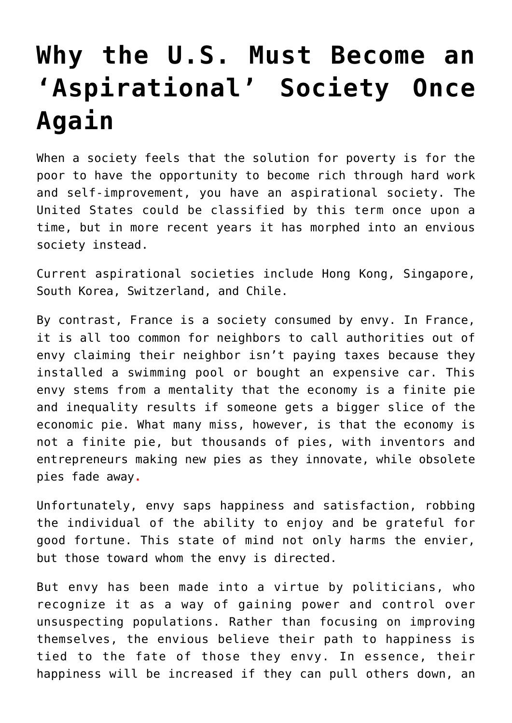## **[Why the U.S. Must Become an](https://intellectualtakeout.org/2018/10/why-the-u-s-must-become-an-aspirational-society-once-again/) ['Aspirational' Society Once](https://intellectualtakeout.org/2018/10/why-the-u-s-must-become-an-aspirational-society-once-again/) [Again](https://intellectualtakeout.org/2018/10/why-the-u-s-must-become-an-aspirational-society-once-again/)**

When a society feels that the solution for poverty is for the poor to have the opportunity to become rich through hard work and self-improvement, you have an aspirational society. The United States could be classified by this term once upon a time, but in more recent years it has morphed into an envious society instead.

Current aspirational societies include Hong Kong, Singapore, South Korea, Switzerland, and Chile.

By contrast, France is a society consumed by envy. In France, it is all too common for neighbors to call authorities out of envy claiming their neighbor isn't paying taxes because they installed a swimming pool or bought an expensive car. This envy stems from a mentality that the economy is a finite pie and inequality results if someone gets a bigger slice of the economic pie. What many miss, however, is that the economy is not a finite pie, but thousands of pies, with inventors and entrepreneurs making new pies as they innovate, while obsolete pies fade away**.** 

Unfortunately, envy saps happiness and satisfaction, robbing the individual of the ability to enjoy and be grateful for good fortune. This state of mind not only harms the envier, but those toward whom the envy is directed.

But envy has been made into a virtue by politicians, who recognize it as a way of gaining power and control over unsuspecting populations. Rather than focusing on improving themselves, the envious believe their path to happiness is tied to the fate of those they envy. In essence, their happiness will be increased if they can pull others down, an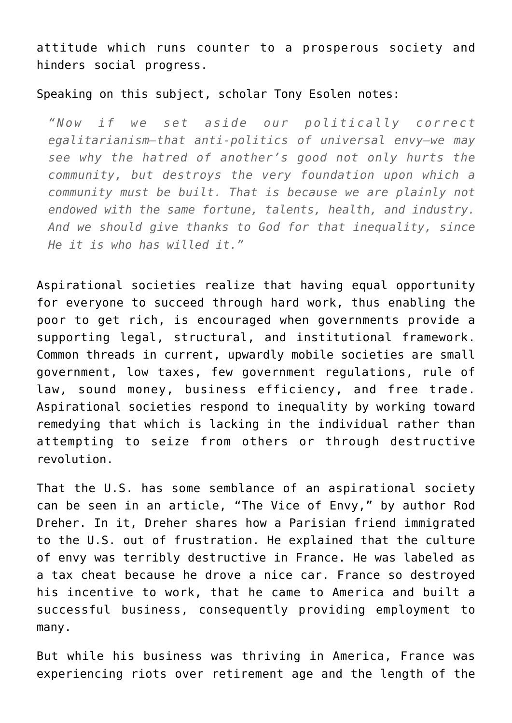attitude which runs counter to a prosperous society and hinders social progress.

Speaking on this subject, scholar Tony Esolen notes:

*"Now if we set aside our politically correct egalitarianism—that anti-politics of universal envy—we may see why the hatred of another's good not only hurts the community, but destroys the very foundation upon which a community must be built. That is because we are plainly not endowed with the same fortune, talents, health, and industry. And we should give thanks to God for that inequality, since He it is who has willed it."*

Aspirational societies realize that having equal opportunity for everyone to succeed through hard work, thus enabling the poor to get rich, is encouraged when governments provide a supporting legal, structural, and institutional framework. Common threads in current, upwardly mobile societies are small government, low taxes, few government regulations, rule of law, sound money, business efficiency, and free trade. Aspirational societies respond to inequality by working toward remedying that which is lacking in the individual rather than attempting to seize from others or through destructive revolution.

That the U.S. has some semblance of an aspirational society can be seen in an article, "The Vice of Envy," by author Rod Dreher. In it, Dreher shares how a Parisian friend immigrated to the U.S. out of frustration. He explained that the culture of envy was terribly destructive in France. He was labeled as a tax cheat because he drove a nice car. France so destroyed his incentive to work, that he came to America and built a successful business, consequently providing employment to many.

But while his business was thriving in America, France was experiencing riots over retirement age and the length of the